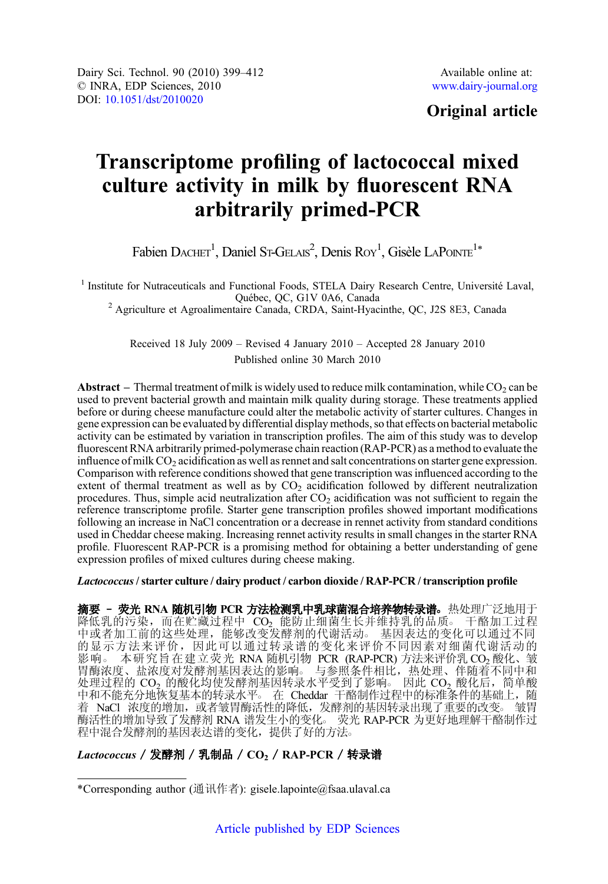# Original article

# Transcriptome profiling of lactococcal mixed culture activity in milk by fluorescent RNA arbitrarily primed-PCR

Fabien DACHET<sup>1</sup>, Daniel St-GELAIS<sup>2</sup>, Denis Roy<sup>1</sup>, Gisèle LAPOINTE<sup>1\*</sup>

<sup>1</sup> Institute for Nutraceuticals and Functional Foods, STELA Dairy Research Centre, Université Laval, Ouébec. OC. G1V 0A6. Canada

<sup>2</sup> Agriculture et Agroalimentaire Canada, CRDA, Saint-Hyacinthe, QC, J2S 8E3, Canada

Received 18 July 2009 – Revised 4 January 2010 – Accepted 28 January 2010 Published online 30 March 2010

Abstract – Thermal treatment of milk is widely used to reduce milk contamination, while  $CO<sub>2</sub>$  can be used to prevent bacterial growth and maintain milk quality during storage. These treatments applied before or during cheese manufacture could alter the metabolic activity of starter cultures. Changes in gene expression can be evaluated by differential display methods, so that effects on bacterial metabolic activity can be estimated by variation in transcription profiles. The aim of this study was to develop fluorescent RNA arbitrarily primed-polymerase chain reaction (RAP-PCR) as a method to evaluate the influence of milk  $CO<sub>2</sub>$  acidification as well as rennet and salt concentrations on starter gene expression. Comparison with reference conditions showed that gene transcription was influenced according to the extent of thermal treatment as well as by  $CO<sub>2</sub>$  acidification followed by different neutralization procedures. Thus, simple acid neutralization after  $CO<sub>2</sub>$  acidification was not sufficient to regain the reference transcriptome profile. Starter gene transcription profiles showed important modifications following an increase in NaCl concentration or a decrease in rennet activity from standard conditions used in Cheddar cheese making. Increasing rennet activity results in small changes in the starter RNA profile. Fluorescent RAP-PCR is a promising method for obtaining a better understanding of gene expression profiles of mixed cultures during cheese making.

#### Lactococcus/ starter culture / dairy product / carbon dioxide / RAP-PCR / transcription profile

摘要 - 荧光 RNA 随机引物 PCR 方法检测乳中乳球菌混合培养物转录谱。热处理广泛地用于 降低乳的污染,而在贮藏过程中 CO2 能防止细菌生长并维持乳的品质。 干酪加工过程<br>中或者加工前的这些处理,能够改变发酵剂的代谢活动。 基因表达的变化可以通过不同 的显示方法来评价,因此可以通过转录谱的变化来评价不同因素对细菌代谢活动的 影响。本研究旨在建立荧光 RNA 随机引物 PCR (RAP-PCR) 方法来评价乳 CO2 酸化、皱 胃酶浓度、盐浓度对发酵剂基因表达的影响。 与参照条件相比,热处理、伴随着不同中和 处理过程的 CO2 的酸化均使发酵剂基因转录水平受到了影响。 因此 CO2 酸化后,简单酸 中和不能充分地恢复基本的转录水平。 在 Cheddar 干酪制作过程中的标准条件的基础上, 随 着 NaCl 浓度的增加, 或者皱胃酶活性的降低, 发酵剂的基因转录出现了重要的改变。 皱胃 酶活性的增加导致了发酵剂 RNA 谱发生小的变化。 荧光 RAP-PCR 为更好地理解干酪制作过 程中混合发酵剂的基因表达谱的变化,提供了好的方法。

# Lactococcus / 发酵剂 / 乳制品 /  $CO<sub>2</sub>$  / RAP-PCR / 转录谱

<sup>\*</sup>Corresponding author (通讯作者): gisele.lapointe@fsaa.ulaval.ca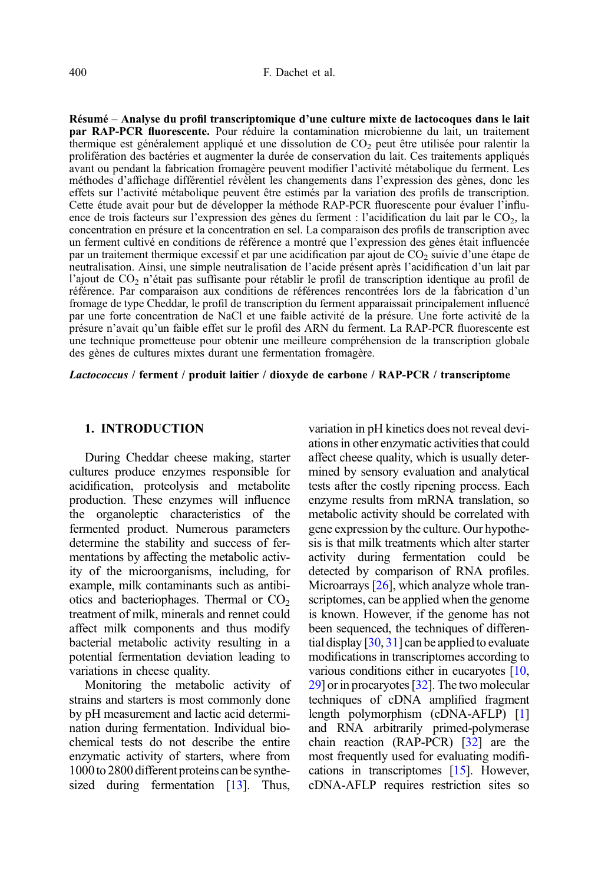Résumé – Analyse du profil transcriptomique d'une culture mixte de lactocoques dans le lait par RAP-PCR fluorescente. Pour réduire la contamination microbienne du lait, un traitement thermique est généralement appliqué et une dissolution de CO<sub>2</sub> peut être utilisée pour ralentir la prolifération des bactéries et augmenter la durée de conservation du lait. Ces traitements appliqués avant ou pendant la fabrication fromagère peuvent modifier l'activité métabolique du ferment. Les méthodes d'affichage différentiel révèlent les changements dans l'expression des gènes, donc les effets sur l'activité métabolique peuvent être estimés par la variation des profils de transcription. Cette étude avait pour but de développer la méthode RAP-PCR fluorescente pour évaluer l'influence de trois facteurs sur l'expression des gènes du ferment : l'acidification du lait par le CO<sub>2</sub>, la concentration en présure et la concentration en sel. La comparaison des profils de transcription avec un ferment cultivé en conditions de référence a montré que l'expression des gènes était influencée par un traitement thermique excessif et par une acidification par ajout de  $CO<sub>2</sub>$  suivie d'une étape de neutralisation. Ainsi, une simple neutralisation de l'acide présent après l'acidification d'un lait par l'ajout de  $CO<sub>2</sub>$  n'était pas suffisante pour rétablir le profil de transcription identique au profil de référence. Par comparaison aux conditions de références rencontrées lors de la fabrication d'un fromage de type Cheddar, le profil de transcription du ferment apparaissait principalement influencé par une forte concentration de NaCl et une faible activité de la présure. Une forte activité de la présure n'avait qu'un faible effet sur le profil des ARN du ferment. La RAP-PCR fluorescente est une technique prometteuse pour obtenir une meilleure compréhension de la transcription globale des gènes de cultures mixtes durant une fermentation fromagère.

Lactococcus / ferment / produit laitier / dioxyde de carbone / RAP-PCR / transcriptome

### 1. INTRODUCTION

During Cheddar cheese making, starter cultures produce enzymes responsible for acidification, proteolysis and metabolite production. These enzymes will influence the organoleptic characteristics of the fermented product. Numerous parameters determine the stability and success of fermentations by affecting the metabolic activity of the microorganisms, including, for example, milk contaminants such as antibiotics and bacteriophages. Thermal or  $CO<sub>2</sub>$ treatment of milk, minerals and rennet could affect milk components and thus modify bacterial metabolic activity resulting in a potential fermentation deviation leading to variations in cheese quality.

Monitoring the metabolic activity of strains and starters is most commonly done by pH measurement and lactic acid determination during fermentation. Individual biochemical tests do not describe the entire enzymatic activity of starters, where from 1000to 2800 different proteins can be synthe-sized during fermentation [\[13\]](#page-12-0). Thus, variation in pH kinetics does not reveal deviations in other enzymatic activities that could affect cheese quality, which is usually determined by sensory evaluation and analytical tests after the costly ripening process. Each enzyme results from mRNA translation, so metabolic activity should be correlated with gene expression by the culture. Our hypothesis is that milk treatments which alter starter activity during fermentation could be detected by comparison of RNA profiles. Microarrays [\[26](#page-13-0)], which analyze whole transcriptomes, can be applied when the genome is known. However, if the genome has not been sequenced, the techniques of differential display [\[30](#page-13-0), [31\]](#page-13-0) can be applied to evaluate modifications in transcriptomes according to various conditions either in eucaryotes [\[10](#page-12-0), [29](#page-13-0)] or in procaryotes [\[32\]](#page-13-0). The two molecular techniques of cDNA amplified fragment length polymorphism (cDNA-AFLP) [[1](#page-11-0)] and RNA arbitrarily primed-polymerase chain reaction (RAP-PCR) [\[32\]](#page-13-0) are the most frequently used for evaluating modifications in transcriptomes [\[15\]](#page-12-0). However, cDNA-AFLP requires restriction sites so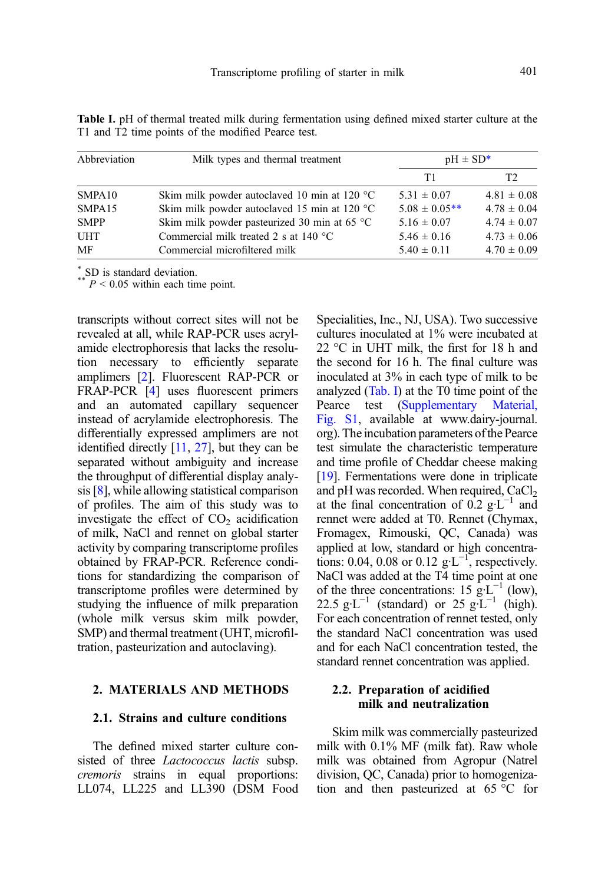Abbreviation Milk types and thermal treatment  $pH \pm SD^*$ T1 T2 SMPA10 Skim milk powder autoclaved 10 min at 120 °C  $5.31 \pm 0.07$   $4.81 \pm 0.08$ SMPA15 Skim milk powder autoclaved 15 min at 120 °C  $5.08 \pm 0.05**$  4.78  $\pm 0.04$ SMPP Skim milk powder pasteurized 30 min at 65 °C 5.16  $\pm$  0.07 4.74  $\pm$  0.07 UHT Commercial milk treated 2 s at  $140\text{ °C}$  5.46  $\pm$  0.16 5.473  $\pm$  0.06 MF Commercial microfiltered milk  $5.40 \pm 0.11$   $4.70 \pm 0.09$ 

<span id="page-2-0"></span>Table I. pH of thermal treated milk during fermentation using defined mixed starter culture at the T1 and T2 time points of the modified Pearce test.

SD is standard deviation.<br>  $* P < 0.05$  within each time point.

transcripts without correct sites will not be revealed at all, while RAP-PCR uses acrylamide electrophoresis that lacks the resolution necessary to efficiently separate amplimers [[2\]](#page-11-0). Fluorescent RAP-PCR or FRAP-PCR [[4\]](#page-12-0) uses fluorescent primers and an automated capillary sequencer instead of acrylamide electrophoresis. The differentially expressed amplimers are not identified directly [[11](#page-12-0), [27\]](#page-13-0), but they can be separated without ambiguity and increase the throughput of differential display analysis [[8\]](#page-12-0), while allowing statistical comparison of profiles. The aim of this study was to investigate the effect of  $CO<sub>2</sub>$  acidification of milk, NaCl and rennet on global starter activity by comparing transcriptome profiles obtained by FRAP-PCR. Reference conditions for standardizing the comparison of transcriptome profiles were determined by studying the influence of milk preparation (whole milk versus skim milk powder, SMP) and thermal treatment (UHT, microfiltration, pasteurization and autoclaving).

#### 2. MATERIALS AND METHODS

## 2.1. Strains and culture conditions

The defined mixed starter culture consisted of three *Lactococcus lactis* subsp. cremoris strains in equal proportions: LL074, LL225 and LL390 (DSM Food Specialities, Inc., NJ, USA). Two successive cultures inoculated at 1% were incubated at 22 °C in UHT milk, the first for 18 h and the second for 16 h. The final culture was inoculated at 3% in each type of milk to be analyzed  $(Tab, I)$  at the T0 time point of the Pearce test (Supplementary Material, Fig. S1, available at www.dairy-journal. org). The incubation parameters of the Pearce test simulate the characteristic temperature and time profile of Cheddar cheese making [[19\]](#page-12-0). Fermentations were done in triplicate and  $pH$  was recorded. When required,  $CaCl<sub>2</sub>$ at the final concentration of 0.2 g⋅L<sup>-1</sup> and rennet were added at T0. Rennet (Chymax, Fromagex, Rimouski, QC, Canada) was applied at low, standard or high concentrations: 0.04, 0.08 or 0.12  $g \cdot L^{-1}$ , respectively. NaCl was added at the T4 time point at one of the three concentrations: 15  $g : L^{-1}$  (low), 22.5 g·L<sup>-1</sup> (standard) or 25 g·L<sup>-1</sup> (high). For each concentration of rennet tested, only the standard NaCl concentration was used and for each NaCl concentration tested, the standard rennet concentration was applied.

#### 2.2. Preparation of acidified milk and neutralization

Skim milk was commercially pasteurized milk with 0.1% MF (milk fat). Raw whole milk was obtained from Agropur (Natrel division, QC, Canada) prior to homogenization and then pasteurized at 65 °C for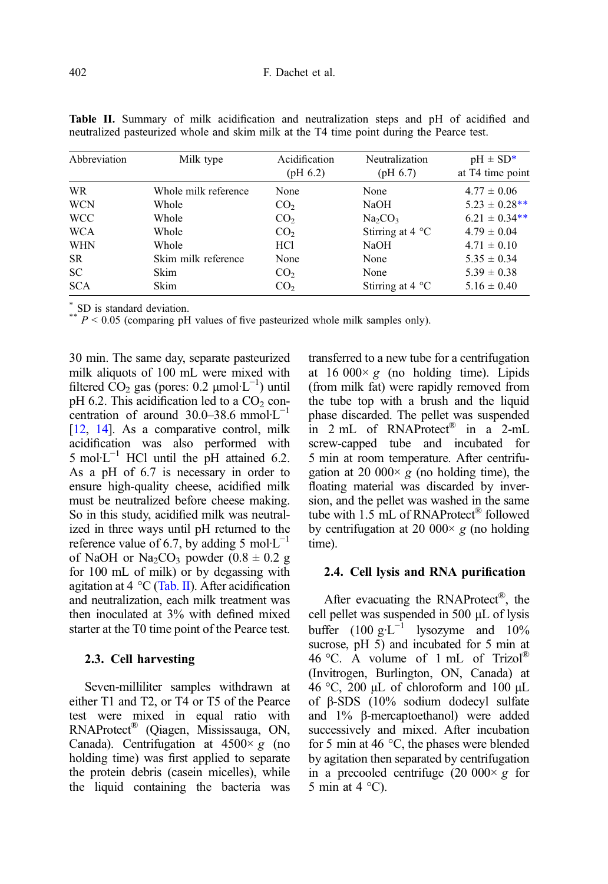| Abbreviation | Milk type            | Acidification<br>(pH 6.2) | Neutralization<br>(pH 6.7)      | $pH \pm SD^*$<br>at T4 time point |
|--------------|----------------------|---------------------------|---------------------------------|-----------------------------------|
| <b>WR</b>    | Whole milk reference | None                      | None                            | $4.77 \pm 0.06$                   |
| <b>WCN</b>   | Whole                | CO <sub>2</sub>           | NaOH                            | $5.23 \pm 0.28**$                 |
| <b>WCC</b>   | Whole                | CO <sub>2</sub>           | Na <sub>2</sub> CO <sub>3</sub> | $6.21 \pm 0.34**$                 |
| <b>WCA</b>   | Whole                | CO <sub>2</sub>           | Stirring at $4^{\circ}$ C       | $4.79 \pm 0.04$                   |
| <b>WHN</b>   | Whole                | HC <sub>1</sub>           | NaOH                            | $4.71 \pm 0.10$                   |
| <b>SR</b>    | Skim milk reference  | None                      | None                            | $5.35 \pm 0.34$                   |
| <b>SC</b>    | Skim                 | CO <sub>2</sub>           | None                            | $5.39 \pm 0.38$                   |
| <b>SCA</b>   | Skim                 | CO <sub>2</sub>           | Stirring at 4 $^{\circ}$ C      | $5.16 \pm 0.40$                   |

<span id="page-3-0"></span>Table II. Summary of milk acidification and neutralization steps and pH of acidified and neutralized pasteurized whole and skim milk at the T4 time point during the Pearce test.

\* SD is standard deviation.<br>\*\*  $P < 0.05$  (comparing pH values of five pasteurized whole milk samples only).

30 min. The same day, separate pasteurized milk aliquots of 100 mL were mixed with filtered  $CO_2$  gas (pores: 0.2 µmol·L<sup>-1</sup>) until  $pH$  6.2. This acidification led to a  $CO<sub>2</sub>$  concentration of around 30.0–38.6 mmol⋅ $L^{-1}$ [\[12](#page-12-0), [14](#page-12-0)]. As a comparative control, milk acidification was also performed with  $5 \text{ mol·L}^{-1}$  HCl until the pH attained 6.2. As a pH of 6.7 is necessary in order to ensure high-quality cheese, acidified milk must be neutralized before cheese making. So in this study, acidified milk was neutralized in three ways until pH returned to the reference value of 6.7, by adding 5 mol⋅ $L^{-1}$ of NaOH or Na<sub>2</sub>CO<sub>3</sub> powder  $(0.8 \pm 0.2$  g for 100 mL of milk) or by degassing with agitation at  $4 \text{ }^{\circ}C$  (Tab. II). After acidification and neutralization, each milk treatment was then inoculated at 3% with defined mixed starter at the T0 time point of the Pearce test.

#### 2.3. Cell harvesting

Seven-milliliter samples withdrawn at either T1 and T2, or T4 or T5 of the Pearce test were mixed in equal ratio with RNAProtect® (Qiagen, Mississauga, ON, Canada). Centrifugation at  $4500 \times g$  (no holding time) was first applied to separate the protein debris (casein micelles), while the liquid containing the bacteria was transferred to a new tube for a centrifugation at 16 000 $\times g$  (no holding time). Lipids (from milk fat) were rapidly removed from the tube top with a brush and the liquid phase discarded. The pellet was suspended in 2 mL of RNAProtect<sup>®</sup> in a 2-mL screw-capped tube and incubated for 5 min at room temperature. After centrifugation at 20 000 $\times$  g (no holding time), the floating material was discarded by inversion, and the pellet was washed in the same tube with 1.5 mL of RNAProtect® followed by centrifugation at 20 000 $\times$  g (no holding time).

#### 2.4. Cell lysis and RNA purification

After evacuating the RNAProtect®, the cell pellet was suspended in 500 μL of lysis buffer  $(100 \text{ g} \cdot \text{L}^{-1} \text{ lysozyme} \text{ and } 10\%$ sucrose, pH 5) and incubated for 5 min at 46 °C. A volume of 1 mL of Trizol<sup>®</sup> (Invitrogen, Burlington, ON, Canada) at 46 °C, 200 μL of chloroform and 100 μL of β-SDS (10% sodium dodecyl sulfate and 1% β-mercaptoethanol) were added successively and mixed. After incubation for 5 min at 46 °C, the phases were blended by agitation then separated by centrifugation in a precooled centrifuge (20 000 $\times$  g for 5 min at 4  $^{\circ}$ C).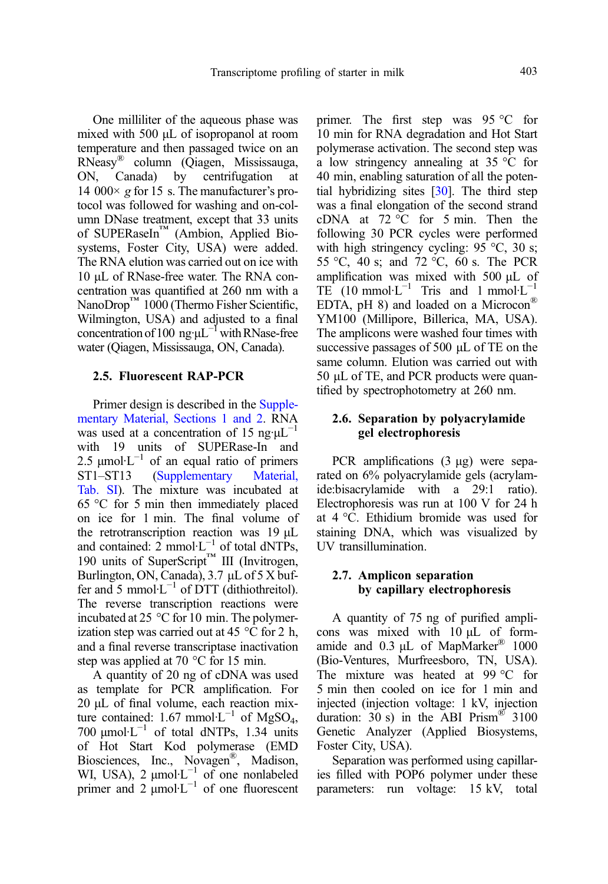One milliliter of the aqueous phase was mixed with 500 μL of isopropanol at room temperature and then passaged twice on an RNeasy<sup>®</sup> column (Qiagen, Mississauga, ON. Canada) by centrifugation at Canada) by centrifugation at 14 000 $\times$  g for 15 s. The manufacturer's protocol was followed for washing and on-column DNase treatment, except that 33 units of SUPERaseIn™ (Ambion, Applied Biosystems, Foster City, USA) were added. The RNA elution was carried out on ice with 10 μL of RNase-free water. The RNA concentration was quantified at 260 nm with a NanoDrop<sup>™</sup> 1000 (Thermo Fisher Scientific, Wilmington, USA) and adjusted to a final concentration of 100 ng· $\mu L^{-1}$  with RNase-free water (Qiagen, Mississauga, ON, Canada).

#### 2.5. Fluorescent RAP-PCR

Primer design is described in the Supplementary Material, Sections 1 and 2. RNA was used at a concentration of 15 ng· $\mu L^{-1}$ with 19 units of SUPERase-In and 2.5  $\mu$ mol·L<sup>-1</sup> of an equal ratio of primers ST1–ST13 (Supplementary Material, Tab. SI). The mixture was incubated at 65 °C for 5 min then immediately placed on ice for 1 min. The final volume of the retrotranscription reaction was 19 μL and contained:  $2 \text{ mmol·L}^{-1}$  of total dNTPs, 190 units of SuperScript<sup>™</sup> III (Invitrogen, Burlington, ON, Canada), 3.7 μL of 5 X buffer and 5 mmol⋅ $L^{-1}$  of DTT (dithiothreitol). The reverse transcription reactions were incubated at 25 °C for 10 min. The polymerization step was carried out at 45 °C for 2 h, and a final reverse transcriptase inactivation step was applied at 70 °C for 15 min.

A quantity of 20 ng of cDNA was used as template for PCR amplification. For 20 μL of final volume, each reaction mixture contained: 1.67 mmol⋅L<sup>-1</sup> of MgSO<sub>4</sub>, 700  $\mu$ mol·L<sup>-1</sup> of total dNTPs, 1.34 units of Hot Start Kod polymerase (EMD Biosciences, Inc., Novagen®, Madison, WI, USA), 2 μmol·L<sup>-1</sup> of one nonlabeled primer and  $2 \mu$ mol·L<sup>-1</sup> of one fluorescent primer. The first step was 95 °C for 10 min for RNA degradation and Hot Start polymerase activation. The second step was a low stringency annealing at 35 °C for 40 min, enabling saturation of all the potential hybridizing sites  $[30]$ . The third step was a final elongation of the second strand cDNA at 72 °C for 5 min. Then the following 30 PCR cycles were performed with high stringency cycling: 95 °C, 30 s; 55 °C, 40 s; and 72 °C, 60 s. The PCR amplification was mixed with 500 μL of TE  $(10 \text{ mmol·L}^{-1}$  Tris and 1 mmol·L<sup>-1</sup> EDTA, pH 8) and loaded on a Microcon<sup>®</sup> YM100 (Millipore, Billerica, MA, USA). The amplicons were washed four times with successive passages of 500 μL of TE on the same column. Elution was carried out with 50 μL of TE, and PCR products were quantified by spectrophotometry at 260 nm.

# 2.6. Separation by polyacrylamide gel electrophoresis

PCR amplifications (3 μg) were separated on 6% polyacrylamide gels (acrylamide:bisacrylamide with a 29:1 ratio). Electrophoresis was run at 100 V for 24 h at 4 °C. Ethidium bromide was used for staining DNA, which was visualized by UV transillumination.

# 2.7. Amplicon separation by capillary electrophoresis

A quantity of 75 ng of purified amplicons was mixed with 10 μL of formamide and  $0.3 \mu L$  of MapMarker<sup>®</sup> 1000 (Bio-Ventures, Murfreesboro, TN, USA). The mixture was heated at 99 °C for 5 min then cooled on ice for 1 min and injected (injection voltage: 1 kV, injection duration: 30 s) in the ABI  $Prism^{\circledR}$  3100 Genetic Analyzer (Applied Biosystems, Foster City, USA).

Separation was performed using capillaries filled with POP6 polymer under these parameters: run voltage: 15 kV, total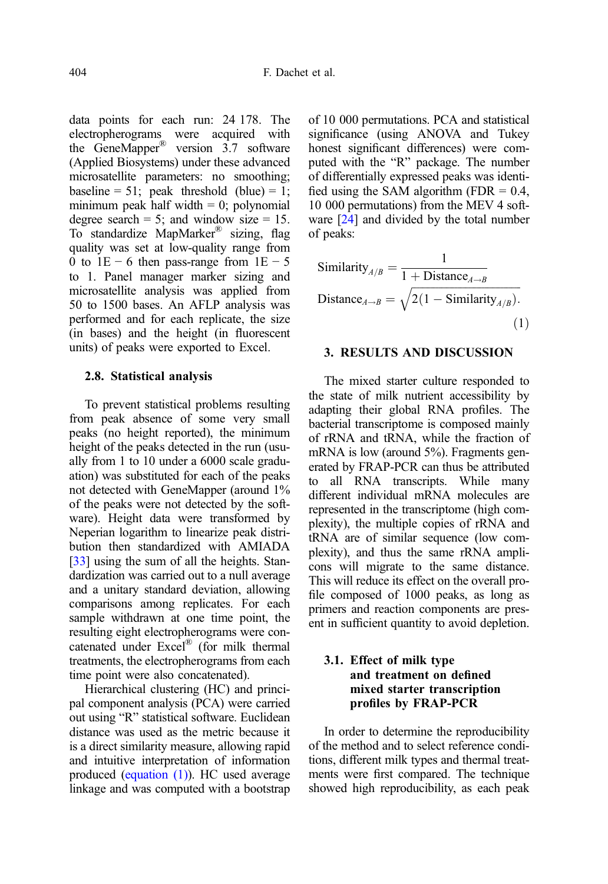data points for each run: 24 178. The electropherograms were acquired with the GeneMapper<sup>®</sup> version  $3.7$  software (Applied Biosystems) under these advanced microsatellite parameters: no smoothing; baseline = 51; peak threshold (blue) = 1; minimum peak half width  $= 0$ ; polynomial degree search  $= 5$ ; and window size  $= 15$ . To standardize MapMarker® sizing, flag quality was set at low-quality range from 0 to  $1E - 6$  then pass-range from  $1E - 5$ to 1. Panel manager marker sizing and microsatellite analysis was applied from 50 to 1500 bases. An AFLP analysis was performed and for each replicate, the size (in bases) and the height (in fluorescent units) of peaks were exported to Excel.

#### 2.8. Statistical analysis

To prevent statistical problems resulting from peak absence of some very small peaks (no height reported), the minimum height of the peaks detected in the run (usually from 1 to 10 under a 6000 scale graduation) was substituted for each of the peaks not detected with GeneMapper (around 1% of the peaks were not detected by the software). Height data were transformed by Neperian logarithm to linearize peak distribution then standardized with AMIADA [\[33](#page-13-0)] using the sum of all the heights. Standardization was carried out to a null average and a unitary standard deviation, allowing comparisons among replicates. For each sample withdrawn at one time point, the resulting eight electropherograms were concatenated under Excel® (for milk thermal treatments, the electropherograms from each time point were also concatenated).

Hierarchical clustering (HC) and principal component analysis (PCA) were carried out using "R" statistical software. Euclidean distance was used as the metric because it is a direct similarity measure, allowing rapid and intuitive interpretation of information produced (equation (1)). HC used average linkage and was computed with a bootstrap of 10 000 permutations. PCA and statistical significance (using ANOVA and Tukey honest significant differences) were computed with the "R" package. The number of differentially expressed peaks was identified using the SAM algorithm (FDR  $= 0.4$ , 10 000 permutations) from the MEV 4 software [[24\]](#page-13-0) and divided by the total number of peaks:

Similarity<sub>A/B</sub> = 
$$
\frac{1}{1 + \text{Distance}_{A \to B}}
$$
  
Distance<sub>A \to B</sub> =  $\sqrt{2(1 - \text{Similarity}_{A/B})}$ . (1)

#### 3. RESULTS AND DISCUSSION

The mixed starter culture responded to the state of milk nutrient accessibility by adapting their global RNA profiles. The bacterial transcriptome is composed mainly of rRNA and tRNA, while the fraction of mRNA is low (around 5%). Fragments generated by FRAP-PCR can thus be attributed all RNA transcripts. While many different individual mRNA molecules are represented in the transcriptome (high complexity), the multiple copies of rRNA and tRNA are of similar sequence (low complexity), and thus the same rRNA amplicons will migrate to the same distance. This will reduce its effect on the overall profile composed of 1000 peaks, as long as primers and reaction components are present in sufficient quantity to avoid depletion.

# 3.1. Effect of milk type and treatment on defined mixed starter transcription profiles by FRAP-PCR

In order to determine the reproducibility of the method and to select reference conditions, different milk types and thermal treatments were first compared. The technique showed high reproducibility, as each peak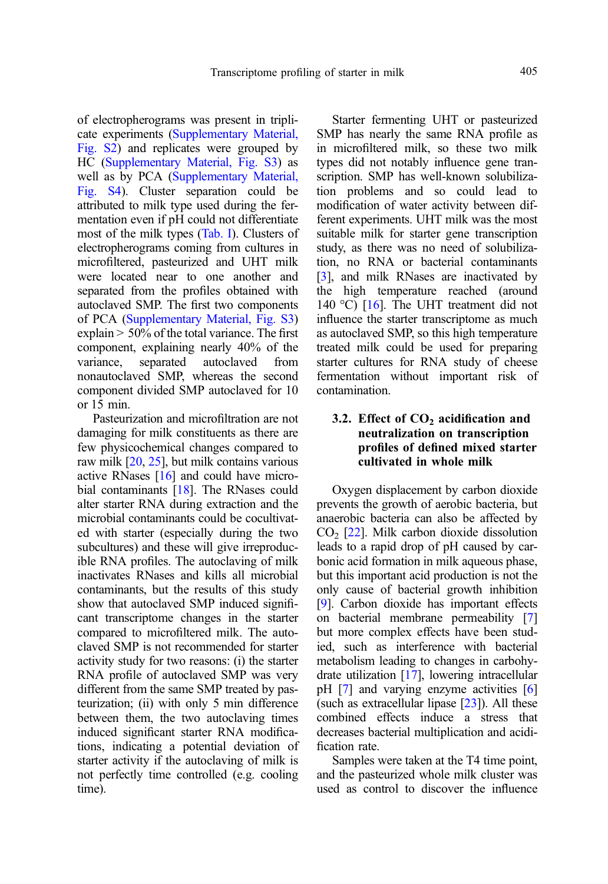of electropherograms was present in triplicate experiments (Supplementary Material, Fig. S2) and replicates were grouped by HC (Supplementary Material, Fig. S3) as well as by PCA (Supplementary Material, Fig. S4). Cluster separation could be attributed to milk type used during the fermentation even if pH could not differentiate most of the milk types [\(Tab. I](#page-2-0)). Clusters of electropherograms coming from cultures in microfiltered, pasteurized and UHT milk were located near to one another and separated from the profiles obtained with autoclaved SMP. The first two components of PCA (Supplementary Material, Fig. S3) explain > 50% of the total variance. The first component, explaining nearly 40% of the variance, separated autoclaved from nonautoclaved SMP, whereas the second component divided SMP autoclaved for 10 or 15 min.

Pasteurization and microfiltration are not damaging for milk constituents as there are few physicochemical changes compared to raw milk [[20](#page-12-0), [25\]](#page-13-0), but milk contains various active RNases [\[16](#page-12-0)] and could have microbial contaminants [\[18\]](#page-12-0). The RNases could alter starter RNA during extraction and the microbial contaminants could be cocultivated with starter (especially during the two subcultures) and these will give irreproducible RNA profiles. The autoclaving of milk inactivates RNases and kills all microbial contaminants, but the results of this study show that autoclaved SMP induced significant transcriptome changes in the starter compared to microfiltered milk. The autoclaved SMP is not recommended for starter activity study for two reasons: (i) the starter RNA profile of autoclaved SMP was very different from the same SMP treated by pasteurization; (ii) with only 5 min difference between them, the two autoclaving times induced significant starter RNA modifications, indicating a potential deviation of starter activity if the autoclaving of milk is not perfectly time controlled (e.g. cooling time).

Starter fermenting UHT or pasteurized SMP has nearly the same RNA profile as in microfiltered milk, so these two milk types did not notably influence gene transcription. SMP has well-known solubilization problems and so could lead to modification of water activity between different experiments. UHT milk was the most suitable milk for starter gene transcription study, as there was no need of solubilization, no RNA or bacterial contaminants [[3\]](#page-12-0), and milk RNases are inactivated by the high temperature reached (around 140 °C) [\[16](#page-12-0)]. The UHT treatment did not influence the starter transcriptome as much as autoclaved SMP, so this high temperature treated milk could be used for preparing starter cultures for RNA study of cheese fermentation without important risk of contamination.

# 3.2. Effect of  $CO<sub>2</sub>$  acidification and neutralization on transcription profiles of defined mixed starter cultivated in whole milk

Oxygen displacement by carbon dioxide prevents the growth of aerobic bacteria, but anaerobic bacteria can also be affected by  $CO<sub>2</sub>$  [[22\]](#page-13-0). Milk carbon dioxide dissolution leads to a rapid drop of pH caused by carbonic acid formation in milk aqueous phase, but this important acid production is not the only cause of bacterial growth inhibition [[9\]](#page-12-0). Carbon dioxide has important effects on bacterial membrane permeability [[7\]](#page-12-0) but more complex effects have been studied, such as interference with bacterial metabolism leading to changes in carbohydrate utilization [[17](#page-12-0)], lowering intracellular pH [[7](#page-12-0)] and varying enzyme activities [[6\]](#page-12-0) (such as extracellular lipase  $[23]$  $[23]$ ). All these combined effects induce a stress that decreases bacterial multiplication and acidification rate.

Samples were taken at the T4 time point, and the pasteurized whole milk cluster was used as control to discover the influence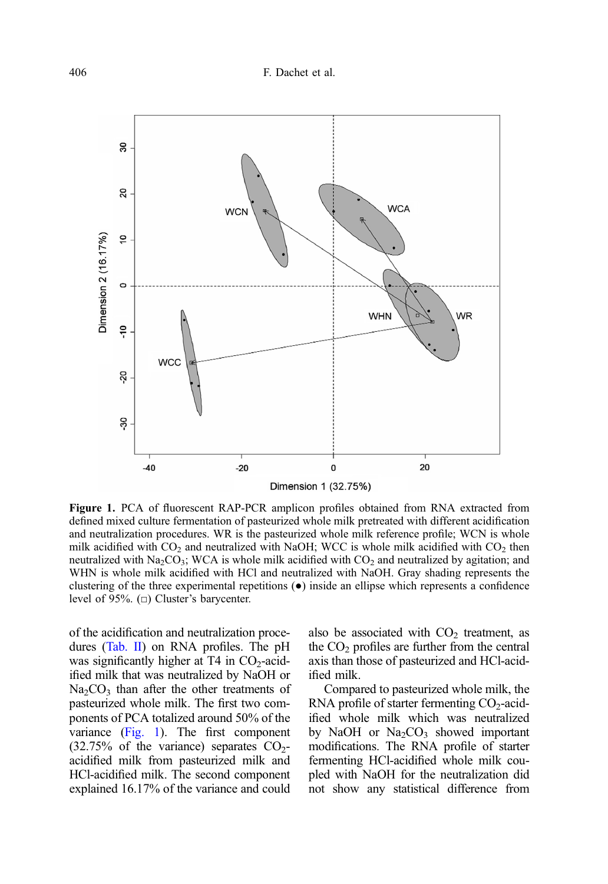

Figure 1. PCA of fluorescent RAP-PCR amplicon profiles obtained from RNA extracted from defined mixed culture fermentation of pasteurized whole milk pretreated with different acidification and neutralization procedures. WR is the pasteurized whole milk reference profile; WCN is whole milk acidified with  $CO<sub>2</sub>$  and neutralized with NaOH; WCC is whole milk acidified with  $CO<sub>2</sub>$  then neutralized with  $Na<sub>2</sub>CO<sub>3</sub>$ ; WCA is whole milk acidified with  $CO<sub>2</sub>$  and neutralized by agitation; and WHN is whole milk acidified with HCl and neutralized with NaOH. Gray shading represents the clustering of the three experimental repetitions  $\left( \bullet \right)$  inside an ellipse which represents a confidence level of 95%. (□) Cluster's barycenter.

of the acidification and neutralization proce-dures ([Tab. II](#page-3-0)) on RNA profiles. The pH was significantly higher at  $T4$  in  $CO<sub>2</sub>$ -acidified milk that was neutralized by NaOH or  $Na<sub>2</sub>CO<sub>3</sub>$  than after the other treatments of pasteurized whole milk. The first two components of PCA totalized around 50% of the variance (Fig. 1). The first component  $(32.75\% \text{ of the variance})$  separates  $CO<sub>2</sub>$ acidified milk from pasteurized milk and HCl-acidified milk. The second component explained 16.17% of the variance and could also be associated with  $CO<sub>2</sub>$  treatment, as the  $CO<sub>2</sub>$  profiles are further from the central axis than those of pasteurized and HCl-acidified milk.

Compared to pasteurized whole milk, the RNA profile of starter fermenting  $CO<sub>2</sub>$ -acidified whole milk which was neutralized by NaOH or  $Na<sub>2</sub>CO<sub>3</sub>$  showed important modifications. The RNA profile of starter fermenting HCl-acidified whole milk coupled with NaOH for the neutralization did not show any statistical difference from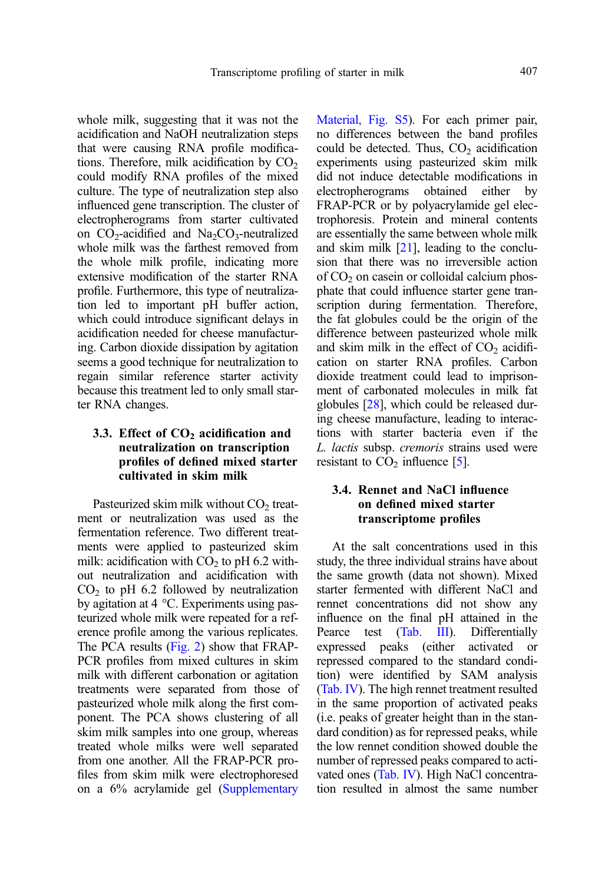whole milk, suggesting that it was not the acidification and NaOH neutralization steps that were causing RNA profile modifications. Therefore, milk acidification by  $CO<sub>2</sub>$ could modify RNA profiles of the mixed culture. The type of neutralization step also influenced gene transcription. The cluster of electropherograms from starter cultivated on  $CO_2$ -acidified and  $Na_2CO_3$ -neutralized whole milk was the farthest removed from the whole milk profile, indicating more extensive modification of the starter RNA profile. Furthermore, this type of neutralization led to important pH buffer action, which could introduce significant delays in acidification needed for cheese manufacturing. Carbon dioxide dissipation by agitation seems a good technique for neutralization to regain similar reference starter activity because this treatment led to only small starter RNA changes.

# 3.3. Effect of  $CO<sub>2</sub>$  acidification and neutralization on transcription profiles of defined mixed starter cultivated in skim milk

Pasteurized skim milk without  $CO<sub>2</sub>$  treatment or neutralization was used as the fermentation reference. Two different treatments were applied to pasteurized skim milk: acidification with  $CO<sub>2</sub>$  to pH 6.2 without neutralization and acidification with  $CO<sub>2</sub>$  to pH 6.2 followed by neutralization by agitation at 4 °C. Experiments using pasteurized whole milk were repeated for a reference profile among the various replicates. The PCA results [\(Fig. 2](#page-9-0)) show that FRAP-PCR profiles from mixed cultures in skim milk with different carbonation or agitation treatments were separated from those of pasteurized whole milk along the first component. The PCA shows clustering of all skim milk samples into one group, whereas treated whole milks were well separated from one another. All the FRAP-PCR profiles from skim milk were electrophoresed on a 6% acrylamide gel (Supplementary Material, Fig. S5). For each primer pair, no differences between the band profiles could be detected. Thus,  $CO<sub>2</sub>$  acidification experiments using pasteurized skim milk did not induce detectable modifications in electropherograms obtained either by FRAP-PCR or by polyacrylamide gel electrophoresis. Protein and mineral contents are essentially the same between whole milk and skim milk [\[21\]](#page-12-0), leading to the conclusion that there was no irreversible action of  $CO<sub>2</sub>$  on casein or colloidal calcium phosphate that could influence starter gene transcription during fermentation. Therefore, the fat globules could be the origin of the difference between pasteurized whole milk and skim milk in the effect of  $CO<sub>2</sub>$  acidification on starter RNA profiles. Carbon dioxide treatment could lead to imprisonment of carbonated molecules in milk fat globules [\[28](#page-13-0)], which could be released during cheese manufacture, leading to interactions with starter bacteria even if the L. lactis subsp. cremoris strains used were resistant to  $CO<sub>2</sub>$  influence [\[5](#page-12-0)].

# 3.4. Rennet and NaCl influence on defined mixed starter transcriptome profiles

At the salt concentrations used in this study, the three individual strains have about the same growth (data not shown). Mixed starter fermented with different NaCl and rennet concentrations did not show any influence on the final pH attained in the Pearce test [\(Tab. III](#page-9-0)). Differentially expressed peaks (either activated or repressed compared to the standard condition) were identified by SAM analysis ([Tab. IV\)](#page-10-0). The high rennet treatment resulted in the same proportion of activated peaks (i.e. peaks of greater height than in the standard condition) as for repressed peaks, while the low rennet condition showed double the number of repressed peaks compared to activated ones ([Tab. IV](#page-10-0)). High NaCl concentration resulted in almost the same number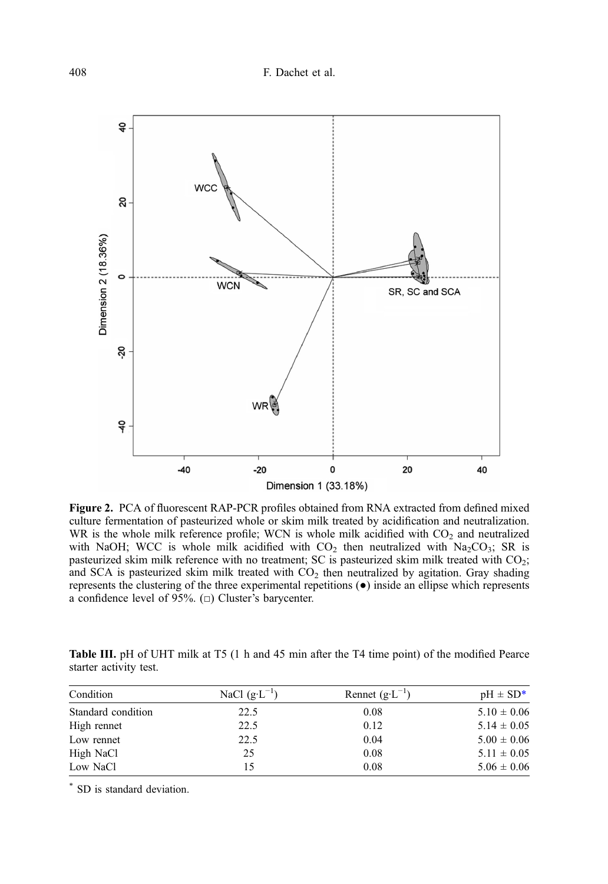<span id="page-9-0"></span>

Figure 2. PCA of fluorescent RAP-PCR profiles obtained from RNA extracted from defined mixed culture fermentation of pasteurized whole or skim milk treated by acidification and neutralization. WR is the whole milk reference profile; WCN is whole milk acidified with  $CO<sub>2</sub>$  and neutralized with NaOH; WCC is whole milk acidified with  $CO<sub>2</sub>$  then neutralized with Na<sub>2</sub>CO<sub>3</sub>; SR is pasteurized skim milk reference with no treatment; SC is pasteurized skim milk treated with CO<sub>2</sub>; and SCA is pasteurized skim milk treated with  $CO<sub>2</sub>$  then neutralized by agitation. Gray shading represents the clustering of the three experimental repetitions (●) inside an ellipse which represents a confidence level of 95%.  $(\Box)$  Cluster's barycenter.

Table III. pH of UHT milk at T5 (1 h and 45 min after the T4 time point) of the modified Pearce starter activity test.

| Condition          | NaCl $(g \cdot L^{-1})$ | Rennet $(g \cdot L^{-1})$ | $pH \pm SD^*$   |
|--------------------|-------------------------|---------------------------|-----------------|
| Standard condition | 22.5                    | 0.08                      | $5.10 \pm 0.06$ |
| High rennet        | 22.5                    | 0.12                      | $5.14 \pm 0.05$ |
| Low rennet         | 22.5                    | 0.04                      | $5.00 \pm 0.06$ |
| High NaCl          | 25                      | 0.08                      | $5.11 \pm 0.05$ |
| Low NaCl           | 15                      | 0.08                      | $5.06 \pm 0.06$ |

SD is standard deviation.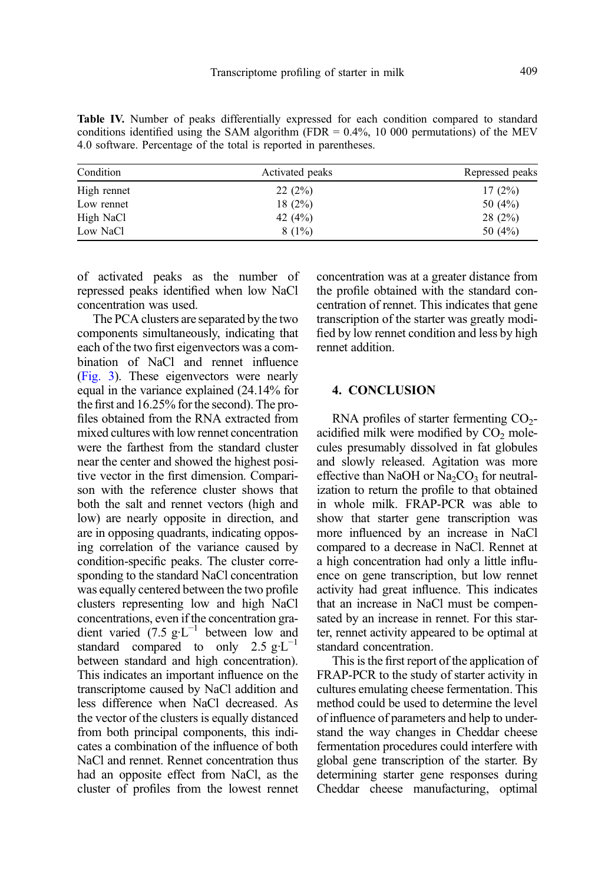<span id="page-10-0"></span>Table IV. Number of peaks differentially expressed for each condition compared to standard conditions identified using the SAM algorithm (FDR =  $0.4\%$ , 10 000 permutations) of the MEV 4.0 software. Percentage of the total is reported in parentheses.

| Condition   | Activated peaks | Repressed peaks |  |
|-------------|-----------------|-----------------|--|
| High rennet | 22(2%)          | 17(2%)          |  |
| Low rennet  | 18(2%)          | 50 $(4\%)$      |  |
| High NaCl   | 42 $(4%)$       | 28(2%)          |  |
| Low NaCl    | 8(1%)           | 50 $(4%)$       |  |

of activated peaks as the number of repressed peaks identified when low NaCl concentration was used.

The PCA clusters are separated by the two components simultaneously, indicating that each of the two first eigenvectors was a combination of NaCl and rennet influence ([Fig. 3](#page-11-0)). These eigenvectors were nearly equal in the variance explained (24.14% for the first and 16.25% for the second). The profiles obtained from the RNA extracted from mixed cultures with low rennet concentration were the farthest from the standard cluster near the center and showed the highest positive vector in the first dimension. Comparison with the reference cluster shows that both the salt and rennet vectors (high and low) are nearly opposite in direction, and are in opposing quadrants, indicating opposing correlation of the variance caused by condition-specific peaks. The cluster corresponding to the standard NaCl concentration was equally centered between the two profile clusters representing low and high NaCl concentrations, even if the concentration gradient varied (7.5 g⋅L<sup>-1</sup> between low and standard compared to only 2.5  $g \cdot L^{-1}$ between standard and high concentration). This indicates an important influence on the transcriptome caused by NaCl addition and less difference when NaCl decreased. As the vector of the clusters is equally distanced from both principal components, this indicates a combination of the influence of both NaCl and rennet. Rennet concentration thus had an opposite effect from NaCl, as the cluster of profiles from the lowest rennet concentration was at a greater distance from the profile obtained with the standard concentration of rennet. This indicates that gene transcription of the starter was greatly modified by low rennet condition and less by high rennet addition.

#### 4. CONCLUSION

RNA profiles of starter fermenting  $CO<sub>2</sub>$ acidified milk were modified by  $CO<sub>2</sub>$  molecules presumably dissolved in fat globules and slowly released. Agitation was more effective than NaOH or  $Na<sub>2</sub>CO<sub>3</sub>$  for neutralization to return the profile to that obtained in whole milk. FRAP-PCR was able to show that starter gene transcription was more influenced by an increase in NaCl compared to a decrease in NaCl. Rennet at a high concentration had only a little influence on gene transcription, but low rennet activity had great influence. This indicates that an increase in NaCl must be compensated by an increase in rennet. For this starter, rennet activity appeared to be optimal at standard concentration.

This is the first report of the application of FRAP-PCR to the study of starter activity in cultures emulating cheese fermentation. This method could be used to determine the level of influence of parameters and help to understand the way changes in Cheddar cheese fermentation procedures could interfere with global gene transcription of the starter. By determining starter gene responses during Cheddar cheese manufacturing, optimal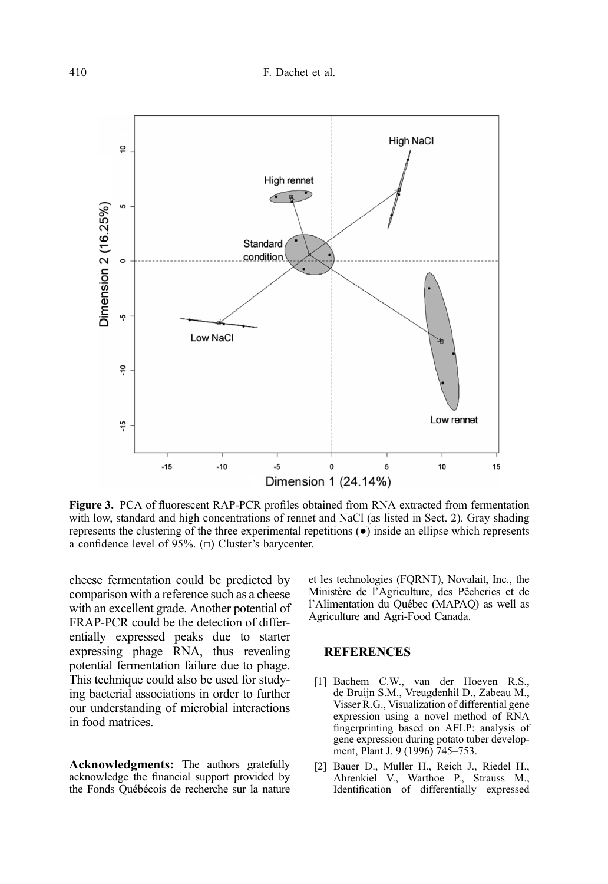<span id="page-11-0"></span>

Figure 3. PCA of fluorescent RAP-PCR profiles obtained from RNA extracted from fermentation with low, standard and high concentrations of rennet and NaCl (as listed in Sect. 2). Gray shading represents the clustering of the three experimental repetitions (●) inside an ellipse which represents a confidence level of 95%. (□) Cluster's barycenter.

cheese fermentation could be predicted by comparison with a reference such as a cheese with an excellent grade. Another potential of FRAP-PCR could be the detection of differentially expressed peaks due to starter expressing phage RNA, thus revealing potential fermentation failure due to phage. This technique could also be used for studying bacterial associations in order to further our understanding of microbial interactions in food matrices.

Acknowledgments: The authors gratefully acknowledge the financial support provided by the Fonds Québécois de recherche sur la nature et les technologies (FQRNT), Novalait, Inc., the Ministère de l'Agriculture, des Pêcheries et de l'Alimentation du Québec (MAPAQ) as well as Agriculture and Agri-Food Canada.

#### **REFERENCES**

- [1] Bachem C.W., van der Hoeven R.S., de Bruijn S.M., Vreugdenhil D., Zabeau M., Visser R.G., Visualization of differential gene expression using a novel method of RNA fingerprinting based on AFLP: analysis of gene expression during potato tuber development, Plant J. 9 (1996) 745–753.
- [2] Bauer D., Muller H., Reich J., Riedel H., Ahrenkiel V., Warthoe P., Strauss M., Identification of differentially expressed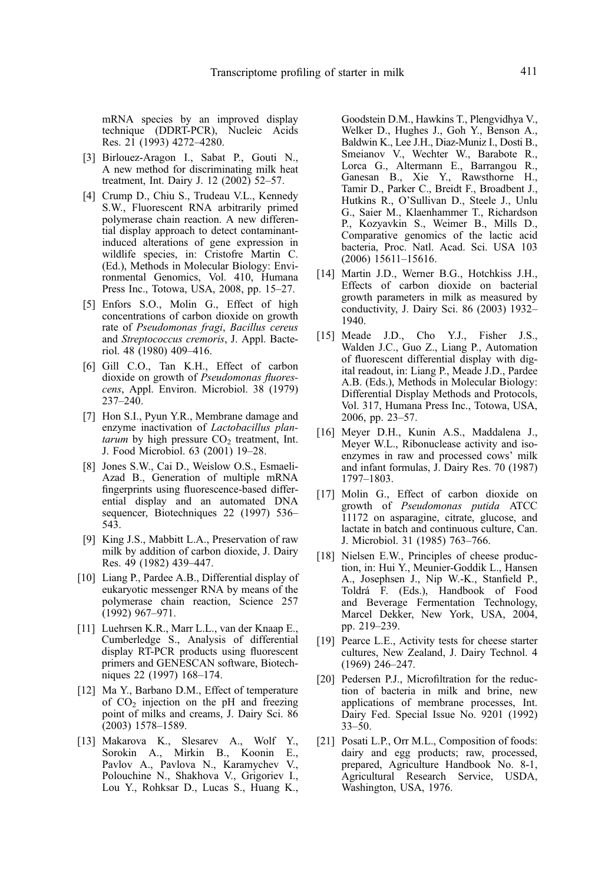<span id="page-12-0"></span>mRNA species by an improved display technique (DDRT-PCR), Nucleic Acids Res. 21 (1993) 4272–4280.

- [3] Birlouez-Aragon I., Sabat P., Gouti N., A new method for discriminating milk heat treatment, Int. Dairy J. 12 (2002) 52–57.
- [4] Crump D., Chiu S., Trudeau V.L., Kennedy S.W., Fluorescent RNA arbitrarily primed polymerase chain reaction. A new differential display approach to detect contaminantinduced alterations of gene expression in wildlife species, in: Cristofre Martin C. (Ed.), Methods in Molecular Biology: Environmental Genomics, Vol. 410, Humana Press Inc., Totowa, USA, 2008, pp. 15–27.
- [5] Enfors S.O., Molin G., Effect of high concentrations of carbon dioxide on growth rate of Pseudomonas fragi, Bacillus cereus and Streptococcus cremoris, J. Appl. Bacteriol. 48 (1980) 409–416.
- [6] Gill C.O., Tan K.H., Effect of carbon dioxide on growth of Pseudomonas fluorescens, Appl. Environ. Microbiol. 38 (1979) 237–240.
- [7] Hon S.I., Pyun Y.R., Membrane damage and enzyme inactivation of Lactobacillus plantarum by high pressure  $CO<sub>2</sub>$  treatment, Int. J. Food Microbiol. 63 (2001) 19–28.
- [8] Jones S.W., Cai D., Weislow O.S., Esmaeli-Azad B., Generation of multiple mRNA fingerprints using fluorescence-based differential display and an automated DNA sequencer, Biotechniques 22 (1997) 536– 543.
- [9] King J.S., Mabbitt L.A., Preservation of raw milk by addition of carbon dioxide, J. Dairy Res. 49 (1982) 439–447.
- [10] Liang P., Pardee A.B., Differential display of eukaryotic messenger RNA by means of the polymerase chain reaction, Science 257 (1992) 967–971.
- [11] Luehrsen K.R., Marr L.L., van der Knaap E., Cumberledge S., Analysis of differential display RT-PCR products using fluorescent primers and GENESCAN software, Biotechniques 22 (1997) 168–174.
- [12] Ma Y., Barbano D.M., Effect of temperature of  $CO<sub>2</sub>$  injection on the pH and freezing point of milks and creams, J. Dairy Sci. 86 (2003) 1578–1589.
- [13] Makarova K., Slesarev A., Wolf Y., Sorokin A., Mirkin B., Koonin E., Pavlov A., Pavlova N., Karamychev V., Polouchine N., Shakhova V., Grigoriev I., Lou Y., Rohksar D., Lucas S., Huang K.,

Goodstein D.M., Hawkins T., Plengvidhya V., Welker D., Hughes J., Goh Y., Benson A., Baldwin K., Lee J.H., Diaz-Muniz I., Dosti B., Smeianov V., Wechter W., Barabote R., Lorca G., Altermann E., Barrangou R., Ganesan B., Xie Y., Rawsthorne H., Tamir D., Parker C., Breidt F., Broadbent J., Hutkins R., O'Sullivan D., Steele J., Unlu G., Saier M., Klaenhammer T., Richardson P., Kozyavkin S., Weimer B., Mills D., Comparative genomics of the lactic acid bacteria, Proc. Natl. Acad. Sci. USA 103 (2006) 15611–15616.

- [14] Martin J.D., Werner B.G., Hotchkiss J.H., Effects of carbon dioxide on bacterial growth parameters in milk as measured by conductivity, J. Dairy Sci. 86 (2003) 1932– 1940.
- [15] Meade J.D., Cho Y.J., Fisher J.S., Walden J.C., Guo Z., Liang P., Automation of fluorescent differential display with digital readout, in: Liang P., Meade J.D., Pardee A.B. (Eds.), Methods in Molecular Biology: Differential Display Methods and Protocols, Vol. 317, Humana Press Inc., Totowa, USA, 2006, pp. 23–57.
- [16] Meyer D.H., Kunin A.S., Maddalena J., Meyer W.L., Ribonuclease activity and isoenzymes in raw and processed cows' milk and infant formulas, J. Dairy Res. 70 (1987) 1797–1803.
- [17] Molin G., Effect of carbon dioxide on growth of Pseudomonas putida ATCC 11172 on asparagine, citrate, glucose, and lactate in batch and continuous culture, Can. J. Microbiol. 31 (1985) 763–766.
- [18] Nielsen E.W., Principles of cheese production, in: Hui Y., Meunier-Goddik L., Hansen A., Josephsen J., Nip W.-K., Stanfield P., Toldrá F. (Eds.), Handbook of Food and Beverage Fermentation Technology, Marcel Dekker, New York, USA, 2004, pp. 219–239.
- [19] Pearce L.E., Activity tests for cheese starter cultures, New Zealand, J. Dairy Technol. 4 (1969) 246–247.
- [20] Pedersen P.J., Microfiltration for the reduction of bacteria in milk and brine, new applications of membrane processes, Int. Dairy Fed. Special Issue No. 9201 (1992) 33–50.
- [21] Posati L.P., Orr M.L., Composition of foods: dairy and egg products; raw, processed, prepared, Agriculture Handbook No. 8-1, Agricultural Research Service, USDA, Washington, USA, 1976.